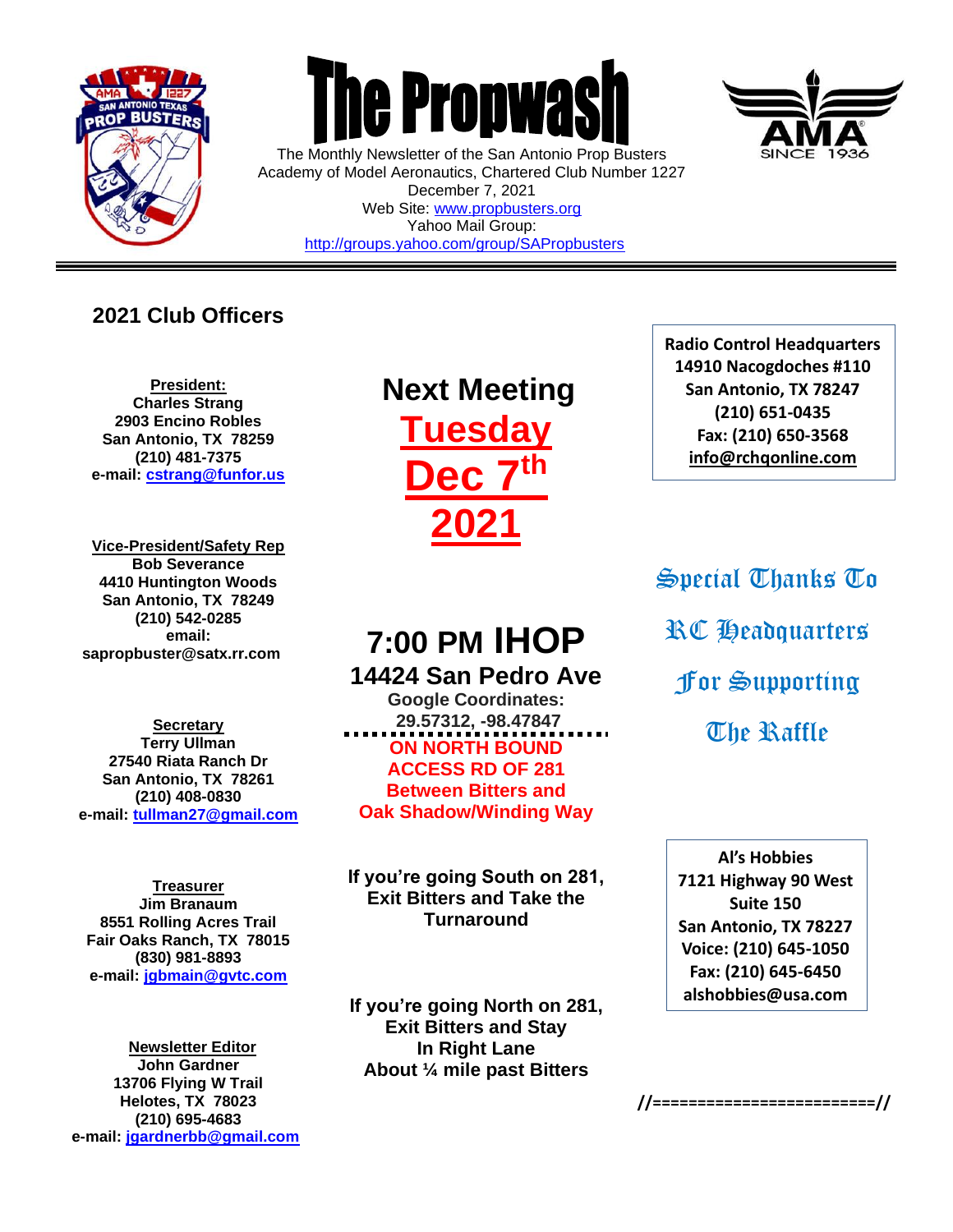

 $\overline{a}$ 



The Monthly Newsletter of the San Antonio Prop Busters Academy of Model Aeronautics, Chartered Club Number 1227 December 7, 2021 Web Site: [www.propbusters.org](http://www.propbusters.org/) Yahoo Mail Group: <http://groups.yahoo.com/group/SAPropbusters>

### **2021 Club Officers**

**President: Charles Strang 2903 Encino Robles San Antonio, TX 78259 (210) 481-7375 e-mail: [cstrang@funfor.us](mailto:cstrang@funfor.us)**

**Vice-President/Safety Rep Bob Severance 4410 Huntington Woods San Antonio, TX 78249 (210) 542-0285 email: sapropbuster@satx.rr.com**

**Secretary Terry Ullman 27540 Riata Ranch Dr San Antonio, TX 78261 (210) 408-0830 e-mail: [tullman27@gmail.com](mailto:tullman27@gmail.com)**

**Treasurer Jim Branaum 8551 Rolling Acres Trail Fair Oaks Ranch, TX 78015 (830) 981-8893 e-mail: [jgbmain@gvtc.com](mailto:jgbmain@gvtc.com)**

**Newsletter Editor John Gardner 13706 Flying W Trail Helotes, TX 78023 (210) 695-4683 e-mail: [jgardnerbb@gmail.com](mailto:jgardnerbb@gmail.com)**

# **Next Meeting Tuesday Dec 7th 2021**

### **7:00 PM IHOP 14424 San Pedro Ave**

**Google Coordinates: 29.57312, -98.47847 ON NORTH BOUND ACCESS RD OF 281 Between Bitters and Oak Shadow/Winding Way**

**If you're going South on 281, Exit Bitters and Take the Turnaround**

**If you're going North on 281, Exit Bitters and Stay In Right Lane About ¼ mile past Bitters**

**Radio Control Headquarters 14910 Nacogdoches #110 San Antonio, TX 78247 (210) 651-0435 Fax: (210) 650-3568 [info@rchqonline.com](mailto:info@rchqonline.com)**

Special Thanks To RC Headquarters For Supporting **The Raffle** 

**Al's Hobbies 7121 Highway 90 West Suite 150 San Antonio, TX 78227 Voice: (210) 645-1050 Fax: (210) 645-6450 alshobbies@usa.com**



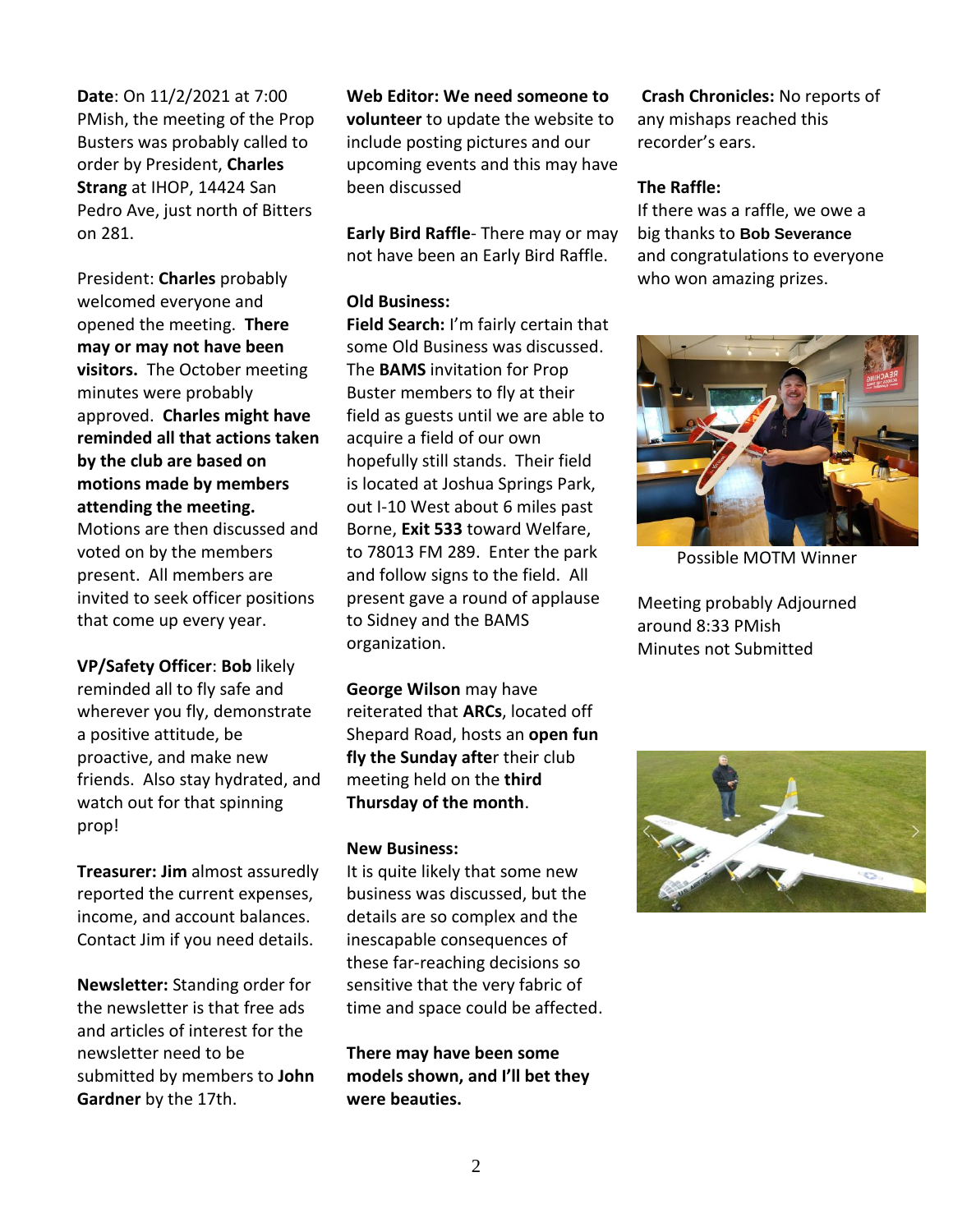**Date**: On 11/2/2021 at 7:00 PMish, the meeting of the Prop Busters was probably called to order by President, **Charles Strang** at IHOP, 14424 San Pedro Ave, just north of Bitters on 281.

President: **Charles** probably welcomed everyone and opened the meeting. **There may or may not have been visitors.** The October meeting minutes were probably approved. **Charles might have reminded all that actions taken by the club are based on motions made by members attending the meeting.**

Motions are then discussed and voted on by the members present. All members are invited to seek officer positions that come up every year.

**VP/Safety Officer**: **Bob** likely reminded all to fly safe and wherever you fly, demonstrate a positive attitude, be proactive, and make new friends. Also stay hydrated, and watch out for that spinning prop!

**Treasurer: Jim** almost assuredly reported the current expenses, income, and account balances. Contact Jim if you need details.

**Newsletter:** Standing order for the newsletter is that free ads and articles of interest for the newsletter need to be submitted by members to **John Gardner** by the 17th.

**Web Editor: We need someone to volunteer** to update the website to include posting pictures and our upcoming events and this may have been discussed

**Early Bird Raffle**- There may or may not have been an Early Bird Raffle.

#### **Old Business:**

**Field Search:** I'm fairly certain that some Old Business was discussed. The **BAMS** invitation for Prop Buster members to fly at their field as guests until we are able to acquire a field of our own hopefully still stands. Their field is located at Joshua Springs Park, out I-10 West about 6 miles past Borne, **Exit 533** toward Welfare, to 78013 FM 289. Enter the park and follow signs to the field. All present gave a round of applause to Sidney and the BAMS organization.

**George Wilson** may have reiterated that **ARCs**, located off Shepard Road, hosts an **open fun fly the Sunday afte**r their club meeting held on the **third Thursday of the month**.

#### **New Business:**

It is quite likely that some new business was discussed, but the details are so complex and the inescapable consequences of these far-reaching decisions so sensitive that the very fabric of time and space could be affected.

**There may have been some models shown, and I'll bet they were beauties.** 

**Crash Chronicles:** No reports of any mishaps reached this recorder's ears.

#### **The Raffle:**

If there was a raffle, we owe a big thanks to **Bob Severance**  and congratulations to everyone who won amazing prizes.



Possible MOTM Winner

Meeting probably Adjourned around 8:33 PMish Minutes not Submitted

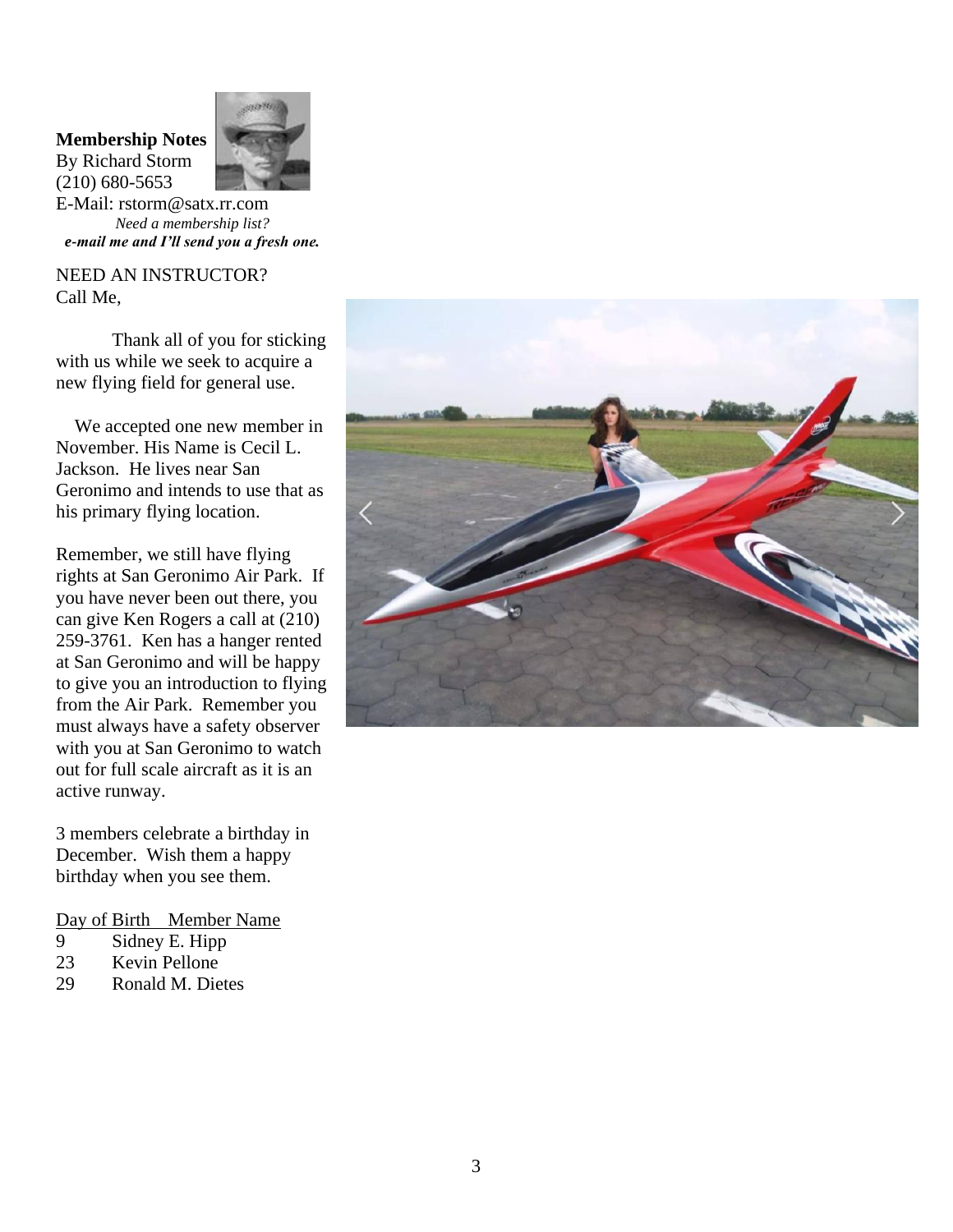## **Membership Notes**





E-Mail: rstorm@satx.rr.com *Need a membership list? e-mail me and I'll send you a fresh one.*

NEED AN INSTRUCTOR? Call Me,

Thank all of you for sticking with us while we seek to acquire a new flying field for general use.

 We accepted one new member in November. His Name is Cecil L. Jackson. He lives near San Geronimo and intends to use that as his primary flying location.

Remember, we still have flying rights at San Geronimo Air Park. If you have never been out there, you can give Ken Rogers a call at (210) 259-3761. Ken has a hanger rented at San Geronimo and will be happy to give you an introduction to flying from the Air Park. Remember you must always have a safety observer with you at San Geronimo to watch out for full scale aircraft as it is an active runway.

3 members celebrate a birthday in December. Wish them a happy birthday when you see them.

Day of Birth Member Name

- 9 Sidney E. Hipp<br>23 Kevin Pellone
- Kevin Pellone
- 29 Ronald M. Dietes